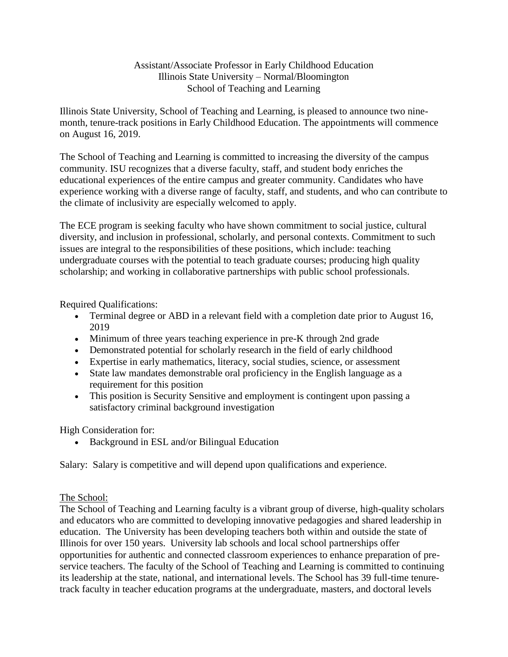## Assistant/Associate Professor in Early Childhood Education Illinois State University – Normal/Bloomington School of Teaching and Learning

Illinois State University, School of Teaching and Learning, is pleased to announce two ninemonth, tenure-track positions in Early Childhood Education. The appointments will commence on August 16, 2019.

The School of Teaching and Learning is committed to increasing the diversity of the campus community. ISU recognizes that a diverse faculty, staff, and student body enriches the educational experiences of the entire campus and greater community. Candidates who have experience working with a diverse range of faculty, staff, and students, and who can contribute to the climate of inclusivity are especially welcomed to apply.

The ECE program is seeking faculty who have shown commitment to social justice, cultural diversity, and inclusion in professional, scholarly, and personal contexts. Commitment to such issues are integral to the responsibilities of these positions, which include: teaching undergraduate courses with the potential to teach graduate courses; producing high quality scholarship; and working in collaborative partnerships with public school professionals.

Required Qualifications:

- Terminal degree or ABD in a relevant field with a completion date prior to August 16, 2019
- Minimum of three years teaching experience in pre-K through 2nd grade
- Demonstrated potential for scholarly research in the field of early childhood
- Expertise in early mathematics, literacy, social studies, science, or assessment
- State law mandates demonstrable oral proficiency in the English language as a requirement for this position
- This position is Security Sensitive and employment is contingent upon passing a satisfactory criminal background investigation

High Consideration for:

Background in ESL and/or Bilingual Education

Salary: Salary is competitive and will depend upon qualifications and experience.

The School:

The School of Teaching and Learning faculty is a vibrant group of diverse, high-quality scholars and educators who are committed to developing innovative pedagogies and shared leadership in education. The University has been developing teachers both within and outside the state of Illinois for over 150 years. University lab schools and local school partnerships offer opportunities for authentic and connected classroom experiences to enhance preparation of preservice teachers. The faculty of the School of Teaching and Learning is committed to continuing its leadership at the state, national, and international levels. The School has 39 full-time tenuretrack faculty in teacher education programs at the undergraduate, masters, and doctoral levels